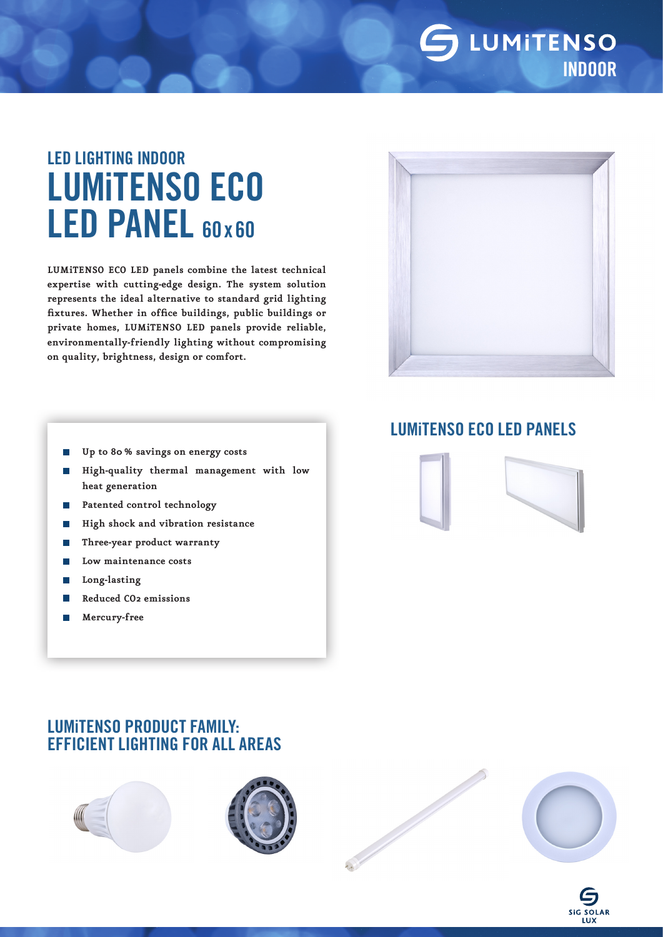

# LED LIGHTING INDOOR LUMiTENSO ECO LED PANEL 60x60

**LUMiTENSO ECO LED panels combine the latest technical expertise with cutting-edge design. The system solution represents the ideal alternative to standard grid lighting fixtures. Whether in office buildings, public buildings or private homes, LUMiTENSO LED panels provide reliable, environmentally-friendly lighting without compromising on quality, brightness, design or comfort.**



- **Up to 80% savings on energy costs** p.
- **High-quality thermal management with low**   $\overline{\phantom{a}}$ **heat generation**
- **Patented control technology**  $\sim$
- **High shock and vibration resistance**
- **Three-year product warranty** p.
- **Low maintenance costs**
- p. **Long-lasting**
- **Reduced CO2 emissions** T.
- **Mercury-free**  $\overline{\phantom{a}}$

### LUMiTENSO ECO LED PANELS



## LUMiTENSO PRODUCT FAMILY: EFFICIENT LIGHTING FOR ALL AREAS